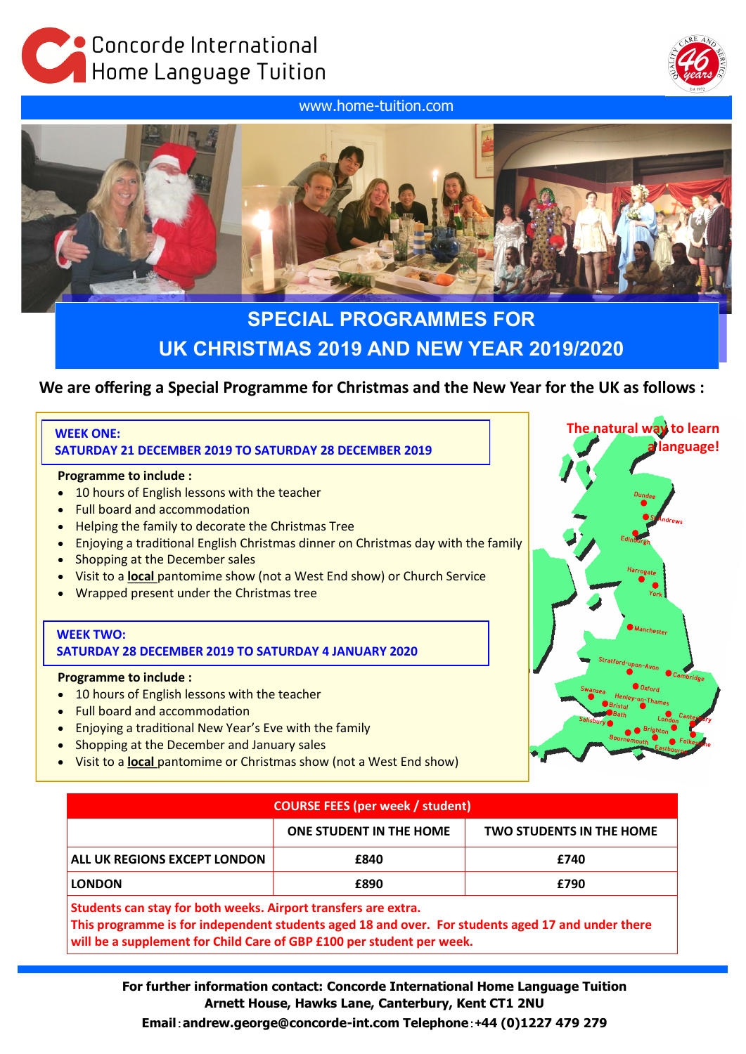Concorde lnternational Home Language Tuition

www.home-tuition.com





# **SPECIAL PROGRAMMES FOR UK CHRISTMAS 2019 AND NEW YEAR 2019/2020**

## **We are offering a Special Programme for Christmas and the New Year for the UK as follows :**

## **WEEK ONE:**

**SATURDAY 21 DECEMBER 2019 TO SATURDAY 28 DECEMBER 2019**

#### **Programme to include :**

- 10 hours of English lessons with the teacher
- Full board and accommodation
- Helping the family to decorate the Christmas Tree
- Enjoying a traditional English Christmas dinner on Christmas day with the family
- Shopping at the December sales
- Visit to a **local** pantomime show (not a West End show) or Church Service
- Wrapped present under the Christmas tree

#### **WEEK TWO: SATURDAY 28 DECEMBER 2019 TO SATURDAY 4 JANUARY 2020**

#### **Programme to include :**

- 10 hours of English lessons with the teacher
- Full board and accommodation
- Enjoying a traditional New Year's Eve with the family
- Shopping at the December and January sales
- Visit to a **local** pantomime or Christmas show (not a West End show)

| The natural way to learn<br>a language!                                              |
|--------------------------------------------------------------------------------------|
|                                                                                      |
| <b>Dundee</b><br>Andrews                                                             |
| Edinburgh                                                                            |
| Harrogate<br>York                                                                    |
| Manchester                                                                           |
| Stratford-upon-Avon                                                                  |
| <b>Cambridge</b><br><b>D</b> Oxford<br>Swansea<br>Henley-on-Thames<br><b>Bristol</b> |
| Bath<br>Canterbury<br>Salisbury<br>London<br><b>Brighton</b><br><b>Bournemouth</b>   |
| Folkestone<br>Eastbourg                                                              |

| <b>COURSE FEES (per week / student)</b>                        |                                |                                 |  |  |  |  |
|----------------------------------------------------------------|--------------------------------|---------------------------------|--|--|--|--|
|                                                                | <b>ONE STUDENT IN THE HOME</b> | <b>TWO STUDENTS IN THE HOME</b> |  |  |  |  |
| ALL UK REGIONS EXCEPT LONDON                                   | £840                           | £740                            |  |  |  |  |
| <b>LONDON</b>                                                  | £890                           | £790                            |  |  |  |  |
| Students can stay for both weeks. Airport transfers are extra. |                                |                                 |  |  |  |  |

**This programme is for independent students aged 18 and over. For students aged 17 and under there will be a supplement for Child Care of GBP £100 per student per week.**

**For further information contact: Concorde International Home Language Tuition Arnett House, Hawks Lane, Canterbury, Kent CT1 2NU Email**:**andrew.george@concorde-int.com Telephone**:+**44 (0)1227 479 279**